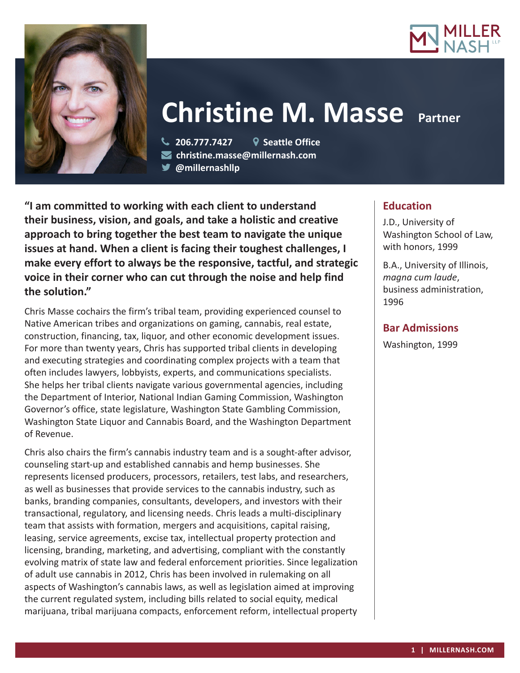



# **Christine M. Masse Partner**

 **206.777.7427 Seattle Office christine.masse@millernash.com @millernashllp** 

**"I am committed to working with each client to understand their business, vision, and goals, and take a holistic and creative approach to bring together the best team to navigate the unique issues at hand. When a client is facing their toughest challenges, I make every effort to always be the responsive, tactful, and strategic voice in their corner who can cut through the noise and help find the solution."**

Chris Masse cochairs the firm's tribal team, providing experienced counsel to Native American tribes and organizations on gaming, cannabis, real estate, construction, financing, tax, liquor, and other economic development issues. For more than twenty years, Chris has supported tribal clients in developing and executing strategies and coordinating complex projects with a team that often includes lawyers, lobbyists, experts, and communications specialists. She helps her tribal clients navigate various governmental agencies, including the Department of Interior, National Indian Gaming Commission, Washington Governor's office, state legislature, Washington State Gambling Commission, Washington State Liquor and Cannabis Board, and the Washington Department of Revenue.

Chris also chairs the firm's cannabis industry team and is a sought-after advisor, counseling start-up and established cannabis and hemp businesses. She represents licensed producers, processors, retailers, test labs, and researchers, as well as businesses that provide services to the cannabis industry, such as banks, branding companies, consultants, developers, and investors with their transactional, regulatory, and licensing needs. Chris leads a multi-disciplinary team that assists with formation, mergers and acquisitions, capital raising, leasing, service agreements, excise tax, intellectual property protection and licensing, branding, marketing, and advertising, compliant with the constantly evolving matrix of state law and federal enforcement priorities. Since legalization of adult use cannabis in 2012, Chris has been involved in rulemaking on all aspects of Washington's cannabis laws, as well as legislation aimed at improving the current regulated system, including bills related to social equity, medical marijuana, tribal marijuana compacts, enforcement reform, intellectual property

# **Education**

J.D., University of Washington School of Law, with honors, 1999

B.A., University of Illinois, *magna cum laude*, business administration, 1996

# **Bar Admissions**

Washington, 1999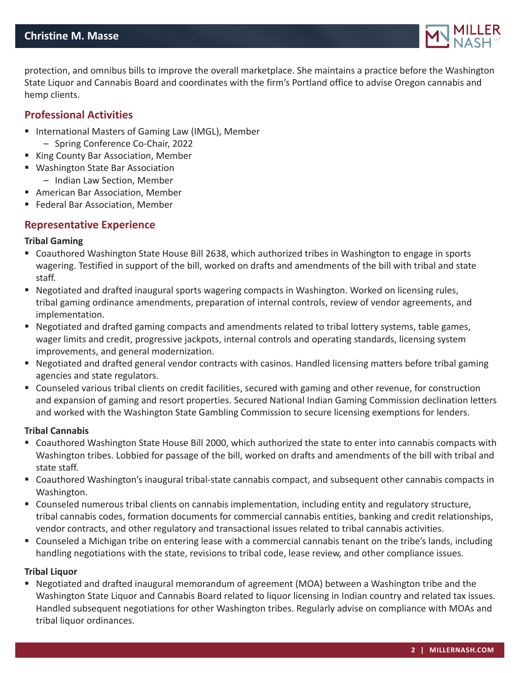

protection, and omnibus bills to improve the overall marketplace. She maintains a practice before the Washington State Liquor and Cannabis Board and coordinates with the firm's Portland office to advise Oregon cannabis and hemp clients.

# **Professional Activities**

- International Masters of Gaming Law (IMGL), Member
	- Spring Conference Co-Chair, 2022
- King County Bar Association, Member
- Washington State Bar Association – Indian Law Section, Member
- American Bar Association, Member
- **Federal Bar Association, Member**

# **Representative Experience**

## **Tribal Gaming**

- Coauthored Washington State House Bill 2638, which authorized tribes in Washington to engage in sports wagering. Testified in support of the bill, worked on drafts and amendments of the bill with tribal and state staff.
- Negotiated and drafted inaugural sports wagering compacts in Washington. Worked on licensing rules, tribal gaming ordinance amendments, preparation of internal controls, review of vendor agreements, and implementation.
- Negotiated and drafted gaming compacts and amendments related to tribal lottery systems, table games, wager limits and credit, progressive jackpots, internal controls and operating standards, licensing system improvements, and general modernization.
- Negotiated and drafted general vendor contracts with casinos. Handled licensing matters before tribal gaming agencies and state regulators.
- Counseled various tribal clients on credit facilities, secured with gaming and other revenue, for construction and expansion of gaming and resort properties. Secured National Indian Gaming Commission declination letters and worked with the Washington State Gambling Commission to secure licensing exemptions for lenders.

## **Tribal Cannabis**

- Coauthored Washington State House Bill 2000, which authorized the state to enter into cannabis compacts with Washington tribes. Lobbied for passage of the bill, worked on drafts and amendments of the bill with tribal and state staff.
- Coauthored Washington's inaugural tribal-state cannabis compact, and subsequent other cannabis compacts in Washington.
- Counseled numerous tribal clients on cannabis implementation, including entity and regulatory structure, tribal cannabis codes, formation documents for commercial cannabis entities, banking and credit relationships, vendor contracts, and other regulatory and transactional issues related to tribal cannabis activities.
- Counseled a Michigan tribe on entering lease with a commercial cannabis tenant on the tribe's lands, including handling negotiations with the state, revisions to tribal code, lease review, and other compliance issues.

## **Tribal Liquor**

 Negotiated and drafted inaugural memorandum of agreement (MOA) between a Washington tribe and the Washington State Liquor and Cannabis Board related to liquor licensing in Indian country and related tax issues. Handled subsequent negotiations for other Washington tribes. Regularly advise on compliance with MOAs and tribal liquor ordinances.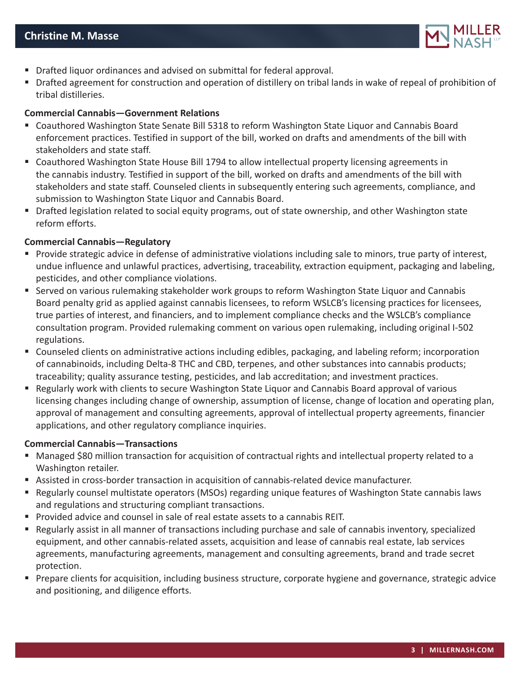

- Drafted liquor ordinances and advised on submittal for federal approval.
- Drafted agreement for construction and operation of distillery on tribal lands in wake of repeal of prohibition of tribal distilleries.

## **Commercial Cannabis—Government Relations**

- Coauthored Washington State Senate Bill 5318 to reform Washington State Liquor and Cannabis Board enforcement practices. Testified in support of the bill, worked on drafts and amendments of the bill with stakeholders and state staff.
- Coauthored Washington State House Bill 1794 to allow intellectual property licensing agreements in the cannabis industry. Testified in support of the bill, worked on drafts and amendments of the bill with stakeholders and state staff. Counseled clients in subsequently entering such agreements, compliance, and submission to Washington State Liquor and Cannabis Board.
- **Drafted legislation related to social equity programs, out of state ownership, and other Washington state** reform efforts.

#### **Commercial Cannabis—Regulatory**

- Provide strategic advice in defense of administrative violations including sale to minors, true party of interest, undue influence and unlawful practices, advertising, traceability, extraction equipment, packaging and labeling, pesticides, and other compliance violations.
- Served on various rulemaking stakeholder work groups to reform Washington State Liquor and Cannabis Board penalty grid as applied against cannabis licensees, to reform WSLCB's licensing practices for licensees, true parties of interest, and financiers, and to implement compliance checks and the WSLCB's compliance consultation program. Provided rulemaking comment on various open rulemaking, including original I-502 regulations.
- Counseled clients on administrative actions including edibles, packaging, and labeling reform; incorporation of cannabinoids, including Delta-8 THC and CBD, terpenes, and other substances into cannabis products; traceability; quality assurance testing, pesticides, and lab accreditation; and investment practices.
- Regularly work with clients to secure Washington State Liquor and Cannabis Board approval of various licensing changes including change of ownership, assumption of license, change of location and operating plan, approval of management and consulting agreements, approval of intellectual property agreements, financier applications, and other regulatory compliance inquiries.

## **Commercial Cannabis—Transactions**

- Managed \$80 million transaction for acquisition of contractual rights and intellectual property related to a Washington retailer.
- Assisted in cross-border transaction in acquisition of cannabis-related device manufacturer.
- Regularly counsel multistate operators (MSOs) regarding unique features of Washington State cannabis laws and regulations and structuring compliant transactions.
- Provided advice and counsel in sale of real estate assets to a cannabis REIT.
- Regularly assist in all manner of transactions including purchase and sale of cannabis inventory, specialized equipment, and other cannabis-related assets, acquisition and lease of cannabis real estate, lab services agreements, manufacturing agreements, management and consulting agreements, brand and trade secret protection.
- Prepare clients for acquisition, including business structure, corporate hygiene and governance, strategic advice and positioning, and diligence efforts.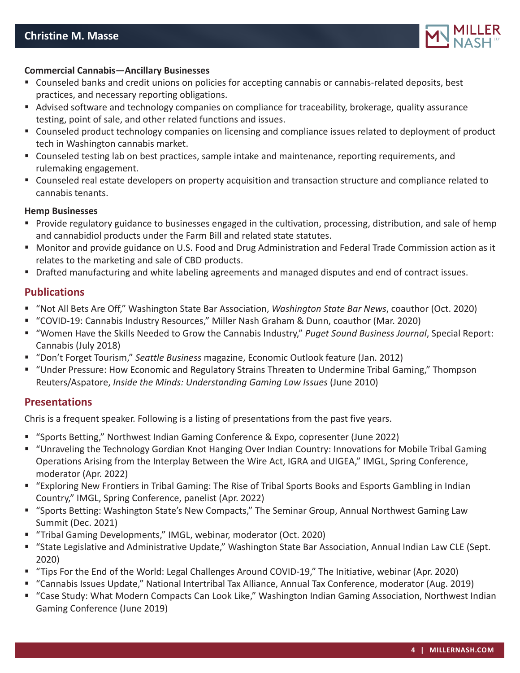

## **Commercial Cannabis—Ancillary Businesses**

- Counseled banks and credit unions on policies for accepting cannabis or cannabis-related deposits, best practices, and necessary reporting obligations.
- Advised software and technology companies on compliance for traceability, brokerage, quality assurance testing, point of sale, and other related functions and issues.
- Counseled product technology companies on licensing and compliance issues related to deployment of product tech in Washington cannabis market.
- Counseled testing lab on best practices, sample intake and maintenance, reporting requirements, and rulemaking engagement.
- Counseled real estate developers on property acquisition and transaction structure and compliance related to cannabis tenants.

#### **Hemp Businesses**

- **Provide regulatory guidance to businesses engaged in the cultivation, processing, distribution, and sale of hemp** and cannabidiol products under the Farm Bill and related state statutes.
- Monitor and provide guidance on U.S. Food and Drug Administration and Federal Trade Commission action as it relates to the marketing and sale of CBD products.
- **Drafted manufacturing and white labeling agreements and managed disputes and end of contract issues.**

# **Publications**

- "Not All Bets Are Off," Washington State Bar Association, *Washington State Bar News*, coauthor (Oct. 2020)
- "COVID-19: Cannabis Industry Resources," Miller Nash Graham & Dunn, coauthor (Mar. 2020)
- "Women Have the Skills Needed to Grow the Cannabis Industry," *Puget Sound Business Journal*, Special Report: Cannabis (July 2018)
- "Don't Forget Tourism," *Seattle Business* magazine, Economic Outlook feature (Jan. 2012)
- "Under Pressure: How Economic and Regulatory Strains Threaten to Undermine Tribal Gaming," Thompson Reuters/Aspatore, *Inside the Minds: Understanding Gaming Law Issues* (June 2010)

# **Presentations**

Chris is a frequent speaker. Following is a listing of presentations from the past five years.

- "Sports Betting," Northwest Indian Gaming Conference & Expo, copresenter (June 2022)
- "Unraveling the Technology Gordian Knot Hanging Over Indian Country: Innovations for Mobile Tribal Gaming Operations Arising from the Interplay Between the Wire Act, IGRA and UIGEA," IMGL, Spring Conference, moderator (Apr. 2022)
- "Exploring New Frontiers in Tribal Gaming: The Rise of Tribal Sports Books and Esports Gambling in Indian Country," IMGL, Spring Conference, panelist (Apr. 2022)
- "Sports Betting: Washington State's New Compacts," The Seminar Group, Annual Northwest Gaming Law Summit (Dec. 2021)
- "Tribal Gaming Developments," IMGL, webinar, moderator (Oct. 2020)
- "State Legislative and Administrative Update," Washington State Bar Association, Annual Indian Law CLE (Sept. 2020)
- "Tips For the End of the World: Legal Challenges Around COVID-19," The Initiative, webinar (Apr. 2020)
- "Cannabis Issues Update," National Intertribal Tax Alliance, Annual Tax Conference, moderator (Aug. 2019)
- "Case Study: What Modern Compacts Can Look Like," Washington Indian Gaming Association, Northwest Indian Gaming Conference (June 2019)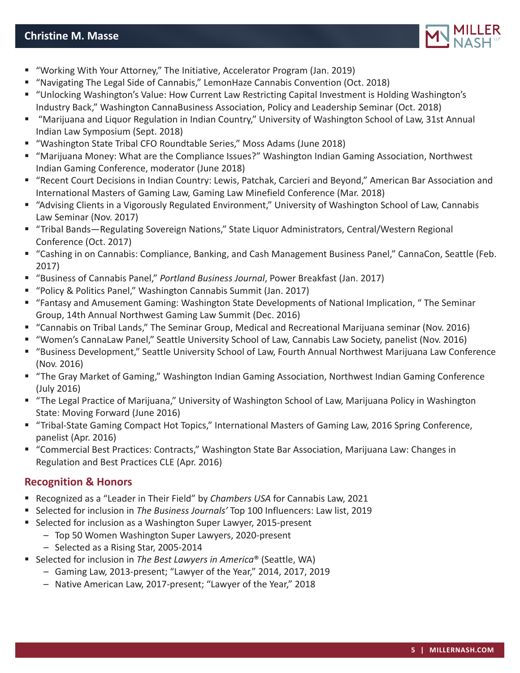# **Christine M. Masse**



- "Working With Your Attorney," The Initiative, Accelerator Program (Jan. 2019)
- "Navigating The Legal Side of Cannabis," LemonHaze Cannabis Convention (Oct. 2018)
- "Unlocking Washington's Value: How Current Law Restricting Capital Investment is Holding Washington's Industry Back," Washington CannaBusiness Association, Policy and Leadership Seminar (Oct. 2018)
- "Marijuana and Liquor Regulation in Indian Country," University of Washington School of Law, 31st Annual Indian Law Symposium (Sept. 2018)
- "Washington State Tribal CFO Roundtable Series," Moss Adams (June 2018)
- "Marijuana Money: What are the Compliance Issues?" Washington Indian Gaming Association, Northwest Indian Gaming Conference, moderator (June 2018)
- "Recent Court Decisions in Indian Country: Lewis, Patchak, Carcieri and Beyond," American Bar Association and International Masters of Gaming Law, Gaming Law Minefield Conference (Mar. 2018)
- "Advising Clients in a Vigorously Regulated Environment," University of Washington School of Law, Cannabis Law Seminar (Nov. 2017)
- "Tribal Bands—Regulating Sovereign Nations," State Liquor Administrators, Central/Western Regional Conference (Oct. 2017)
- "Cashing in on Cannabis: Compliance, Banking, and Cash Management Business Panel," CannaCon, Seattle (Feb. 2017)
- "Business of Cannabis Panel," *Portland Business Journal*, Power Breakfast (Jan. 2017)
- "Policy & Politics Panel," Washington Cannabis Summit (Jan. 2017)
- "Fantasy and Amusement Gaming: Washington State Developments of National Implication, " The Seminar Group, 14th Annual Northwest Gaming Law Summit (Dec. 2016)
- "Cannabis on Tribal Lands," The Seminar Group, Medical and Recreational Marijuana seminar (Nov. 2016)
- "Women's CannaLaw Panel," Seattle University School of Law, Cannabis Law Society, panelist (Nov. 2016)
- "Business Development," Seattle University School of Law, Fourth Annual Northwest Marijuana Law Conference (Nov. 2016)
- "The Gray Market of Gaming," Washington Indian Gaming Association, Northwest Indian Gaming Conference (July 2016)
- "The Legal Practice of Marijuana," University of Washington School of Law, Marijuana Policy in Washington State: Moving Forward (June 2016)
- "Tribal-State Gaming Compact Hot Topics," International Masters of Gaming Law, 2016 Spring Conference, panelist (Apr. 2016)
- "Commercial Best Practices: Contracts," Washington State Bar Association, Marijuana Law: Changes in Regulation and Best Practices CLE (Apr. 2016)

# **Recognition & Honors**

- Recognized as a "Leader in Their Field" by *Chambers USA* for Cannabis Law, 2021
- Selected for inclusion in *The Business Journals'* Top 100 Influencers: Law list, 2019
- Selected for inclusion as a Washington Super Lawyer, 2015-present
	- Top 50 Women Washington Super Lawyers, 2020-present
	- Selected as a Rising Star, 2005-2014
- Selected for inclusion in *The Best Lawyers in America®* (Seattle, WA)
	- Gaming Law, 2013-present; "Lawyer of the Year," 2014, 2017, 2019
	- Native American Law, 2017-present; "Lawyer of the Year," 2018